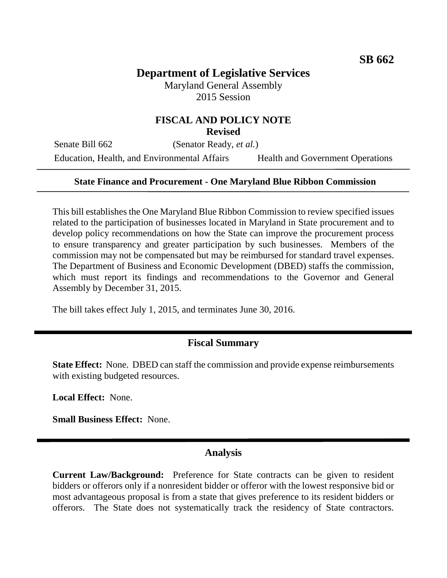## **Department of Legislative Services**

Maryland General Assembly 2015 Session

# **FISCAL AND POLICY NOTE**

**Revised**

Senate Bill 662 (Senator Ready, *et al.*) Education, Health, and Environmental Affairs Health and Government Operations

#### **State Finance and Procurement - One Maryland Blue Ribbon Commission**

This bill establishes the One Maryland Blue Ribbon Commission to review specified issues related to the participation of businesses located in Maryland in State procurement and to develop policy recommendations on how the State can improve the procurement process to ensure transparency and greater participation by such businesses. Members of the commission may not be compensated but may be reimbursed for standard travel expenses. The Department of Business and Economic Development (DBED) staffs the commission, which must report its findings and recommendations to the Governor and General Assembly by December 31, 2015.

The bill takes effect July 1, 2015, and terminates June 30, 2016.

#### **Fiscal Summary**

**State Effect:** None. DBED can staff the commission and provide expense reimbursements with existing budgeted resources.

**Local Effect:** None.

**Small Business Effect:** None.

#### **Analysis**

**Current Law/Background:** Preference for State contracts can be given to resident bidders or offerors only if a nonresident bidder or offeror with the lowest responsive bid or most advantageous proposal is from a state that gives preference to its resident bidders or offerors. The State does not systematically track the residency of State contractors.